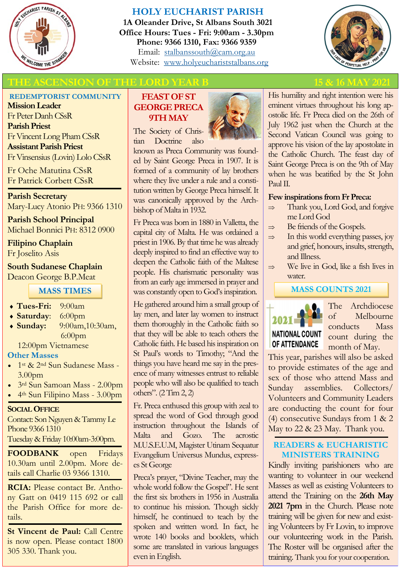

# **HOLY EUCHARIST PARISH**

**1A Oleander Drive, St Albans South 3021 Office Hours: Tues - Fri: 9:00am - 3.30pm Phone: 9366 1310, Fax: 9366 9359** Email: [stalbanssouth@cam.org.au](mailto:stalbanssouth@cam.org.au) Website:[www.holyeuchariststalbans.org](http://www.holyeuchariststalbans.org)



# **THE ASCENSION OF THE LORD YEAR B**

### **REDEMPTORIST COMMUNITY**

**Mission Leader** Fr Peter Danh CSsR **Parish Priest** Fr Vincent Long Pham CSsR **Assistant Parish Priest**  Fr Vinsensius (Lovin) Lolo CSsR

Fr Oche Matutina CSsR Fr Patrick Corbett CSsR

**Parish Secretary** Mary-Lucy Atonio PH: 9366 1310

**Parish School Principal** Michael Bonnici PH: 8312 0900

**Filipino Chaplain** Fr Joselito Asis

# **South Sudanese Chaplain**

Deacon George B.P.Meat

### **MASS TIMES**

- **Tues-Fri:** 9:00am
- **Saturday**: 6:00pm
- **Sunday:** 9:00am,10:30am, 6:00pm

12:00pm Vietnamese

### **Other Masses**

- 1<sup>st</sup> & 2<sup>nd</sup> Sun Sudanese Mass -3.00pm
- 3rd Sun Samoan Mass 2.00pm
- 4th Sun Filipino Mass 3.00pm

### **SOCIAL OFFICE**

Contact: Son Nguyen & Tammy Le Phone 9366 1310 Tuesday & Friday 10:00am-3:00pm.

**FOODBANK** open Fridays 10.30am until 2.00pm. More details call Charlie 03 9366 1310.

**RCIA:** Please contact Br. Anthony Gatt on 0419 115 692 or call the Parish Office for more details.

**St Vincent de Paul:** Call Centre is now open. Please contact 1800 305 330. Thank you.

# **FEAST OF ST GEORGE PRECA 9TH MAY**

The Society of Christian Doctrine also



known as Preca Community was founded by Saint George Preca in 1907. It is formed of a community of lay brothers where they live under a rule and a constitution written by George Preca himself. It was canonically approved by the Archbishop of Malta in 1932.

Fr Preca was born in 1880 in Valletta, the capital city of Malta. He was ordained a priest in 1906. By that time he was already deeply inspired to find an effective way to deepen the Catholic faith of the Maltese people. His charismatic personality was from an early age immersed in prayer and was constantly open to God's inspiration.

He gathered around him a small group of lay men, and later lay women to instruct them thoroughly in the Catholic faith so that they will be able to teach others the Catholic faith. He based his inspiration on St Paul's words to Timothy; "And the things you have heard me say in the presence of many witnesses entrust to reliable people who will also be qualified to teach others". (2 Tim 2, 2)

Fr. Preca enthused this group with zeal to spread the word of God through good instruction throughout the Islands of Malta and Gozo. The acrostic M.U.S.E.U.M, Magister Utinam Sequatur Evangelium Universus Mundus, expresses St George

Preca's prayer, "Divine Teacher, may the whole world follow the Gospel". He sent the first six brothers in 1956 in Australia to continue his mission. Though sickly himself, he continued to teach by the spoken and written word. In fact, he wrote 140 books and booklets, which some are translated in various languages even in English.

His humility and right intention were his eminent virtues throughout his long apostolic life. Fr Preca died on the 26th of July 1962 just when the Church at the Second Vatican Council was going to approve his vision of the lay apostolate in the Catholic Church. The feast day of Saint George Preca is on the 9th of May when he was beatified by the St John Paul II.

### **Few inspirations from Fr Preca:**

- $\Rightarrow$  Thank you, Lord God, and forgive me Lord God
- $\Rightarrow$  Be friends of the Gospels.
- $\Rightarrow$  In this world everything passes, joy and grief, honours, insults, strength, and Illness.
- $\Rightarrow$  We live in God, like a fish lives in water.

# **MASS COUNTS 2021**



The Archdiocese of Melbourne conducts Mass count during the month of May.

This year, parishes will also be asked to provide estimates of the age and sex of those who attend Mass and Sunday assemblies. Collectors/ Volunteers and Community Leaders are conducting the count for four (4) consecutive Sundays from 1 & 2 May to 22 & 23 May. Thank you.

# **READERS & EUCHARISTIC MINISTERS TRAINING**

Kindly inviting parishioners who are wanting to volunteer in our weekend Masses as well as existing Volunteers to attend the Training on the **26th May 2021 7pm** in the Church. Please note training will be given for new and existing Volunteers by Fr Lovin, to improve our volunteering work in the Parish. The Roster will be organised after the training. Thank you for your cooperation.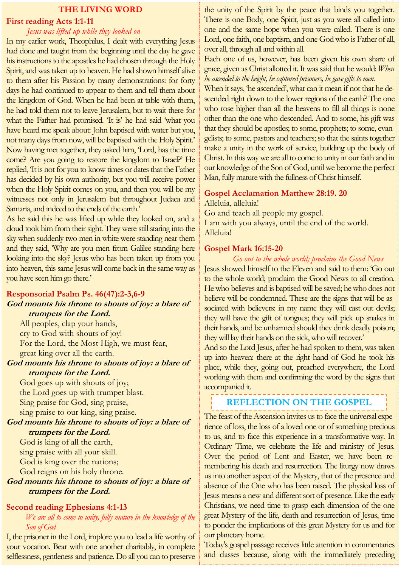### **THE LIVING WORD**

# **First reading Acts 1:1-11**

# *Jesus was lifted up while they looked on*

In my earlier work, Theophilus, I dealt with everything Jesus had done and taught from the beginning until the day he gave his instructions to the apostles he had chosen through the Holy Spirit, and was taken up to heaven. He had shown himself alive to them after his Passion by many demonstrations: for forty days he had continued to appear to them and tell them about the kingdom of God. When he had been at table with them, he had told them not to leave Jerusalem, but to wait there for what the Father had promised. It is' he had said 'what you have heard me speak about: John baptised with water but you, not many days from now, will be baptised with the Holy Spirit.' Now having met together, they asked him, 'Lord, has the time come? Are you going to restore the kingdom to Israel?' He replied, 'It is not for you to know times or dates that the Father has decided by his own authority, but you will receive power when the Holy Spirit comes on you, and then you will be my witnesses not only in Jerusalem but throughout Judaea and Samaria, and indeed to the ends of the earth.'

As he said this he was lifted up while they looked on, and a cloud took him from their sight. They were still staring into the sky when suddenly two men in white were standing near them and they said, 'Why are you men from Galilee standing here looking into the sky? Jesus who has been taken up from you into heaven, this same Jesus will come back in the same way as you have seen him go there.'

### **Responsorial Psalm Ps. 46(47):2-3,6-9 God mounts his throne to shouts of joy: a blare of trumpets for the Lord.**

All peoples, clap your hands, cry to God with shouts of joy! For the Lord, the Most High, we must fear, great king over all the earth.

### **God mounts his throne to shouts of joy: a blare of trumpets for the Lord.**

God goes up with shouts of joy; the Lord goes up with trumpet blast. Sing praise for God, sing praise, sing praise to our king, sing praise.

### **God mounts his throne to shouts of joy: a blare of trumpets for the Lord.**

God is king of all the earth, sing praise with all your skill. God is king over the nations; God reigns on his holy throne.

# **God mounts his throne to shouts of joy: a blare of trumpets for the Lord.**

# **Second reading Ephesians 4:1-13**

*We are all to come to unity, fully mature in the knowledge of the Son of God*

I, the prisoner in the Lord, implore you to lead a life worthy of your vocation. Bear with one another charitably, in complete selflessness, gentleness and patience. Do all you can to preserve

the unity of the Spirit by the peace that binds you together. There is one Body, one Spirit, just as you were all called into one and the same hope when you were called. There is one Lord, one faith, one baptism, and one God who is Father of all, over all, through all and within all.

Each one of us, however, has been given his own share of grace, given as Christ allotted it. It was said that he would: *When he ascended to the height, he captured prisoners, he gave gifts to men.*

When it says, 'he ascended', what can it mean if not that he descended right down to the lower regions of the earth? The one who rose higher than all the heavens to fill all things is none other than the one who descended. And to some, his gift was that they should be apostles; to some, prophets; to some, evangelists; to some, pastors and teachers; so that the saints together make a unity in the work of service, building up the body of Christ. In this way we are all to come to unity in our faith and in our knowledge of the Son of God, until we become the perfect Man, fully mature with the fullness of Christ himself.

# **Gospel Acclamation Matthew 28:19. 20**

Alleluia, alleluia! Go and teach all people my gospel. I am with you always, until the end of the world. Alleluia!

### **Gospel Mark 16:15-20**

### *Go out to the whole world; proclaim the Good News* Jesus showed himself to the Eleven and said to them: 'Go out

to the whole world; proclaim the Good News to all creation. He who believes and is baptised will be saved; he who does not believe will be condemned. These are the signs that will be associated with believers: in my name they will cast out devils; they will have the gift of tongues; they will pick up snakes in their hands, and be unharmed should they drink deadly poison; they will lay their hands on the sick, who will recover.'

And so the Lord Jesus, after he had spoken to them, was taken up into heaven: there at the right hand of God he took his place, while they, going out, preached everywhere, the Lord working with them and confirming the word by the signs that accompanied it.

# **REFLECTION ON THE GOSPEL**

The feast of the Ascension invites us to face the universal experience of loss, the loss of a loved one or of something precious to us, and to face this experience in a transformative way. In Ordinary Time, we celebrate the life and ministry of Jesus. Over the period of Lent and Easter, we have been remembering his death and resurrection. The liturgy now draws us into another aspect of the Mystery, that of the presence and absence of the One who has been raised. The physical loss of Jesus means a new and different sort of presence. Like the early Christians, we need time to grasp each dimension of the one great Mystery of the life, death and resurrection of Jesus, time to ponder the implications of this great Mystery for us and for our planetary home.

Today's gospel passage receives little attention in commentaries and classes because, along with the immediately preceding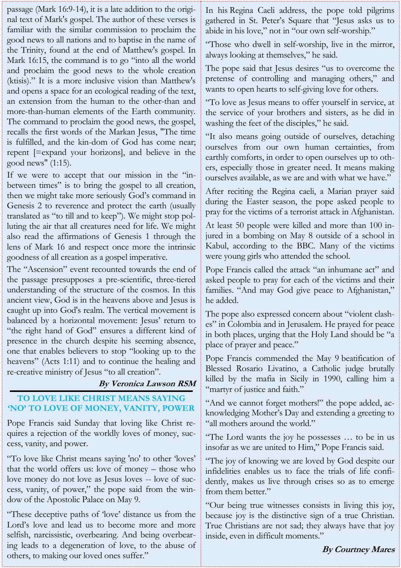passage (Mark 16:9-14), it is a late addition to the original text of Mark's gospel. The author of these verses is familiar with the similar commission to proclaim the good news to all nations and to baptise in the name of the Trinity, found at the end of Matthew's gospel. In Mark 16:15, the command is to go "into all the world and proclaim the good news to the whole creation (ktisis)." It is a more inclusive vision than Matthew's and opens a space for an ecological reading of the text, an extension from the human to the other-than and more-than-human elements of the Earth community. The command to proclaim the good news, the gospel, recalls the first words of the Markan Jesus, "The time is fulfilled, and the kin-dom of God has come near; repent [=expand your horizons], and believe in the good news" (1:15).

If we were to accept that our mission in the "inbetween times" is to bring the gospel to all creation, then we might take more seriously God's command in Genesis 2 to reverence and protect the earth (usually translated as "to till and to keep"). We might stop polluting the air that all creatures need for life. We might also read the affirmations of Genesis 1 through the lens of Mark 16 and respect once more the intrinsic goodness of all creation as a gospel imperative.

The "Ascension" event recounted towards the end of the passage presupposes a pre-scientific, three-tiered understanding of the structure of the cosmos. In this ancient view, God is in the heavens above and Jesus is caught up into God's realm. The vertical movement is balanced by a horizontal movement: Jesus' return to "the right hand of God" ensures a different kind of presence in the church despite his seeming absence, one that enables believers to stop "looking up to the heavens" (Acts 1:11) and to continue the healing and re-creative ministry of Jesus "to all creation".

# **By Veronica Lawson RSM**

# **TO LOVE LIKE CHRIST MEANS SAYING 'NO' TO LOVE OF MONEY, VANITY, POWER**

Pope Francis said Sunday that loving like Christ requires a rejection of the worldly loves of money, success, vanity, and power.

"To love like Christ means saying 'no' to other 'loves' that the world offers us: love of money – those who love money do not love as Jesus loves -- love of success, vanity, of power," the pope said from the window of the Apostolic Palace on May 9.

"These deceptive paths of 'love' distance us from the Lord's love and lead us to become more and more selfish, narcissistic, overbearing. And being overbearing leads to a degeneration of love, to the abuse of others, to making our loved ones suffer."

In his Regina Caeli address, the pope told pilgrims gathered in St. Peter's Square that "Jesus asks us to abide in his love," not in "our own self-worship."

"Those who dwell in self-worship, live in the mirror, always looking at themselves," he said.

The pope said that Jesus desires "us to overcome the pretense of controlling and managing others," and wants to open hearts to self-giving love for others.

"To love as Jesus means to offer yourself in service, at the service of your brothers and sisters, as he did in washing the feet of the disciples," he said.

"It also means going outside of ourselves, detaching ourselves from our own human certainties, from earthly comforts, in order to open ourselves up to others, especially those in greater need. It means making ourselves available, as we are and with what we have."

After reciting the Regina caeli, a Marian prayer said during the Easter season, the pope asked people to pray for the victims of a terrorist attack in Afghanistan.

At least 50 people were killed and more than 100 injured in a bombing on May 8 outside of a school in Kabul, according to the BBC. Many of the victims were young girls who attended the school.

Pope Francis called the attack "an inhumane act" and asked people to pray for each of the victims and their families. "And may God give peace to Afghanistan," he added.

The pope also expressed concern about "violent clashes" in Colombia and in Jerusalem. He prayed for peace in both places, urging that the Holy Land should be "a place of prayer and peace."

Pope Francis commended the May 9 [beatification of](https://www.catholicnewsagency.com/news/247589/rosario-livatino-beatified-in-sicily-honored-as-martyr-of-justice-and-faith)  [Blessed Rosario Livatino,](https://www.catholicnewsagency.com/news/247589/rosario-livatino-beatified-in-sicily-honored-as-martyr-of-justice-and-faith) a Catholic judge brutally killed by the mafia in Sicily in 1990, calling him a "martyr of justice and faith."

"And we cannot forget mothers!" the pope added, acknowledging Mother's Day and extending a greeting to "all mothers around the world."

"The Lord wants the joy he possesses … to be in us insofar as we are united to Him," Pope Francis said.

"The joy of knowing we are loved by God despite our infidelities enables us to face the trials of life confidently, makes us live through crises so as to emerge from them better."

"Our being true witnesses consists in living this joy, because joy is the distinctive sign of a true Christian. True Christians are not sad; they always have that joy inside, even in difficult moments."

**By Courtney Mares**